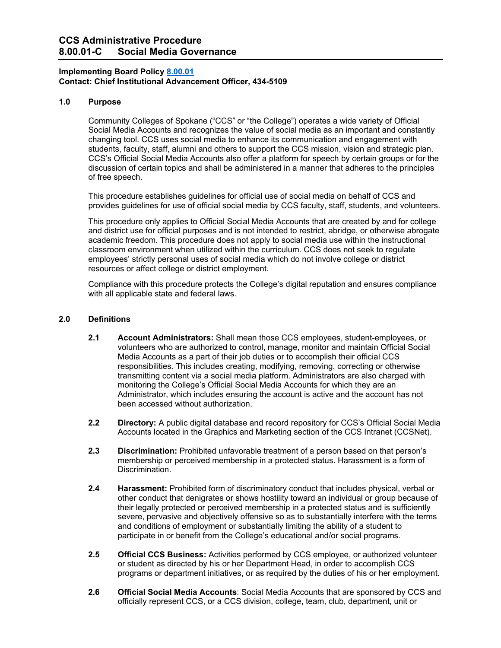# **CCS Administrative Procedure 8.00.01-C Social Media Governance**

### **Implementing Board Policy [8.00.01](https://ccs.spokane.edu/About-Us/Leadership/Board-of-Trustees/Policies-Procedures/Chapter8#AccWE2-1) Contact: Chief Institutional Advancement Officer, 434-5109**

### **1.0 Purpose**

Community Colleges of Spokane ("CCS" or "the College") operates a wide variety of Official Social Media Accounts and recognizes the value of social media as an important and constantly changing tool. CCS uses social media to enhance its communication and engagement with students, faculty, staff, alumni and others to support the CCS mission, vision and strategic plan. CCS's Official Social Media Accounts also offer a platform for speech by certain groups or for the discussion of certain topics and shall be administered in a manner that adheres to the principles of free speech.

This procedure establishes guidelines for official use of social media on behalf of CCS and provides guidelines for use of official social media by CCS faculty, staff, students, and volunteers.

This procedure only applies to Official Social Media Accounts that are created by and for college and district use for official purposes and is not intended to restrict, abridge, or otherwise abrogate academic freedom. This procedure does not apply to social media use within the instructional classroom environment when utilized within the curriculum. CCS does not seek to regulate employees' strictly personal uses of social media which do not involve college or district resources or affect college or district employment.

Compliance with this procedure protects the College's digital reputation and ensures compliance with all applicable state and federal laws.

#### **2.0 Definitions**

- **2.1 Account Administrators:** Shall mean those CCS employees, student-employees, or volunteers who are authorized to control, manage, monitor and maintain Official Social Media Accounts as a part of their job duties or to accomplish their official CCS responsibilities. This includes creating, modifying, removing, correcting or otherwise transmitting content via a social media platform. Administrators are also charged with monitoring the College's Official Social Media Accounts for which they are an Administrator, which includes ensuring the account is active and the account has not been accessed without authorization.
- **2.2 Directory:** A public digital database and record repository for CCS's Official Social Media Accounts located in the Graphics and Marketing section of the CCS Intranet (CCSNet).
- **2.3 Discrimination:** Prohibited unfavorable treatment of a person based on that person's membership or perceived membership in a protected status. Harassment is a form of Discrimination.
- **2.4 Harassment:** Prohibited form of discriminatory conduct that includes physical, verbal or other conduct that denigrates or shows hostility toward an individual or group because of their legally protected or perceived membership in a protected status and is sufficiently severe, pervasive and objectively offensive so as to substantially interfere with the terms and conditions of employment or substantially limiting the ability of a student to participate in or benefit from the College's educational and/or social programs.
- **2.5 Official CCS Business:** Activities performed by CCS employee, or authorized volunteer or student as directed by his or her Department Head, in order to accomplish CCS programs or department initiatives, or as required by the duties of his or her employment.
- **2.6 Official Social Media Accounts**: Social Media Accounts that are sponsored by CCS and officially represent CCS, or a CCS division, college, team, club, department, unit or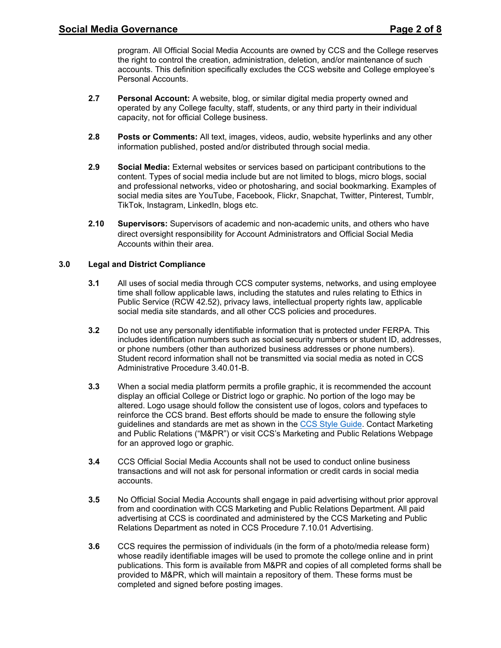program. All Official Social Media Accounts are owned by CCS and the College reserves the right to control the creation, administration, deletion, and/or maintenance of such accounts. This definition specifically excludes the CCS website and College employee's Personal Accounts.

- **2.7 Personal Account:** A website, blog, or similar digital media property owned and operated by any College faculty, staff, students, or any third party in their individual capacity, not for official College business.
- **2.8 Posts or Comments:** All text, images, videos, audio, website hyperlinks and any other information published, posted and/or distributed through social media.
- **2.9 Social Media:** External websites or services based on participant contributions to the content. Types of social media include but are not limited to blogs, micro blogs, social and professional networks, video or photosharing, and social bookmarking. Examples of social media sites are YouTube, Facebook, Flickr, Snapchat, Twitter, Pinterest, Tumblr, TikTok, Instagram, LinkedIn, blogs etc.
- **2.10 Supervisors:** Supervisors of academic and non-academic units, and others who have direct oversight responsibility for Account Administrators and Official Social Media Accounts within their area.

# **3.0 Legal and District Compliance**

- **3.1** All uses of social media through CCS computer systems, networks, and using employee time shall follow applicable laws, including the statutes and rules relating to Ethics in Public Service (RCW 42.52), privacy laws, intellectual property rights law, applicable social media site standards, and all other CCS policies and procedures.
- **3.2** Do not use any personally identifiable information that is protected under FERPA. This includes identification numbers such as social security numbers or student ID, addresses, or phone numbers (other than authorized business addresses or phone numbers). Student record information shall not be transmitted via social media as noted in CCS Administrative Procedure 3.40.01-B.
- **3.3** When a social media platform permits a profile graphic, it is recommended the account display an official College or District logo or graphic. No portion of the logo may be altered. Logo usage should follow the consistent use of logos, colors and typefaces to reinforce the CCS brand. Best efforts should be made to ensure the following style guidelines and standards are met as shown in the [CCS Style Guide.](https://ccsnet.ccs.spokane.edu/Graphics,-Marketing---PR/CUSTOM-PAGES/Publications/CCS_StyleGuide.aspx) Contact Marketing and Public Relations ("M&PR") or visit CCS's Marketing and Public Relations Webpage for an approved logo or graphic.
- **3.4** CCS Official Social Media Accounts shall not be used to conduct online business transactions and will not ask for personal information or credit cards in social media accounts.
- **3.5** No Official Social Media Accounts shall engage in paid advertising without prior approval from and coordination with CCS Marketing and Public Relations Department. All paid advertising at CCS is coordinated and administered by the CCS Marketing and Public Relations Department as noted in CCS Procedure 7.10.01 Advertising.
- **3.6** CCS requires the permission of individuals (in the form of a photo/media release form) whose readily identifiable images will be used to promote the college online and in print publications. This form is available from M&PR and copies of all completed forms shall be provided to M&PR, which will maintain a repository of them. These forms must be completed and signed before posting images.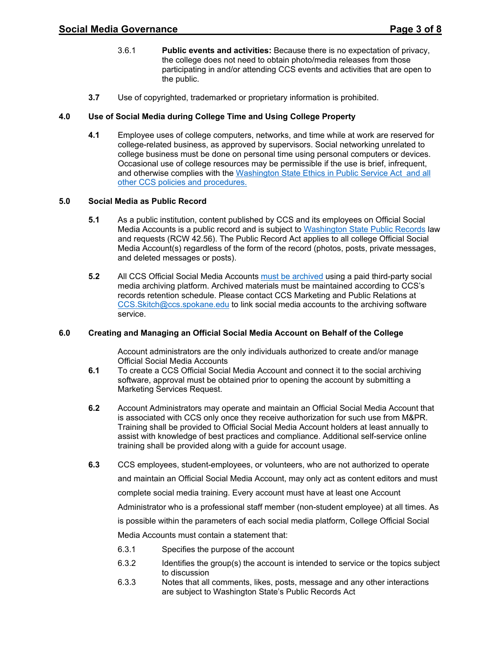- 3.6.1 **Public events and activities:** Because there is no expectation of privacy, the college does not need to obtain photo/media releases from those participating in and/or attending CCS events and activities that are open to the public.
- **3.7** Use of copyrighted, trademarked or proprietary information is prohibited.

# **4.0 Use of Social Media during College Time and Using College Property**

**4.1** Employee uses of college computers, networks, and time while at work are reserved for college-related business, as approved by supervisors. Social networking unrelated to college business must be done on personal time using personal computers or devices. Occasional use of college resources may be permissible if the use is brief, infrequent, and otherwise complies with the [Washington State Ethics in Public Service Act and all](https://apps.leg.wa.gov/rcw/default.aspx?cite=42.52)  [other CCS policies and procedures.](https://apps.leg.wa.gov/rcw/default.aspx?cite=42.52)

# **5.0 Social Media as Public Record**

- **5.1** As a public institution, content published by CCS and its employees on Official Social Media Accounts is a public record and is subject to [Washington State Public Records](https://apps.leg.wa.gov/rcw/default.aspx?cite=42.56) law and requests (RCW 42.56). The Public Record Act applies to all college Official Social Media Account(s) regardless of the form of the record (photos, posts, private messages, and deleted messages or posts).
- **5.2** All CCS Official Social Media Accounts [must be archived](https://www.sos.wa.gov/archives/recordsmanagement/state-agencies-records-retention-schedules.aspx) using a paid third-party social media archiving platform. Archived materials must be maintained according to CCS's records retention schedule. Please contact CCS Marketing and Public Relations at [CCS.Skitch@ccs.spokane.edu](mailto:CCS.Skitch@ccs.spokane.edu) to link social media accounts to the archiving software service.

### **6.0 Creating and Managing an Official Social Media Account on Behalf of the College**

Account administrators are the only individuals authorized to create and/or manage Official Social Media Accounts

- **6.1** To create a CCS Official Social Media Account and connect it to the social archiving software, approval must be obtained prior to opening the account by submitting a Marketing Services Request.
- **6.2** Account Administrators may operate and maintain an Official Social Media Account that is associated with CCS only once they receive authorization for such use from M&PR. Training shall be provided to Official Social Media Account holders at least annually to assist with knowledge of best practices and compliance. Additional self-service online training shall be provided along with a guide for account usage.
- **6.3** CCS employees, student-employees, or volunteers, who are not authorized to operate and maintain an Official Social Media Account, may only act as content editors and must complete social media training. Every account must have at least one Account Administrator who is a professional staff member (non-student employee) at all times. As is possible within the parameters of each social media platform, College Official Social Media Accounts must contain a statement that:
	- 6.3.1 Specifies the purpose of the account
	- 6.3.2 Identifies the group(s) the account is intended to service or the topics subject to discussion
	- 6.3.3 Notes that all comments, likes, posts, message and any other interactions are subject to Washington State's Public Records Act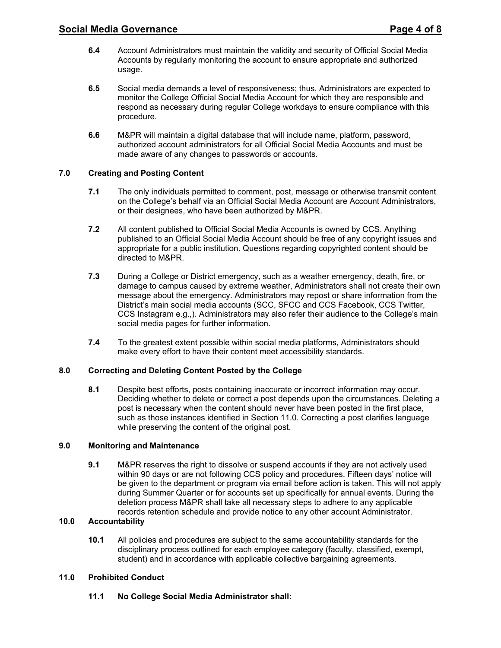- **6.4** Account Administrators must maintain the validity and security of Official Social Media Accounts by regularly monitoring the account to ensure appropriate and authorized usage.
- **6.5** Social media demands a level of responsiveness; thus, Administrators are expected to monitor the College Official Social Media Account for which they are responsible and respond as necessary during regular College workdays to ensure compliance with this procedure.
- **6.6** M&PR will maintain a digital database that will include name, platform, password, authorized account administrators for all Official Social Media Accounts and must be made aware of any changes to passwords or accounts.

# **7.0 Creating and Posting Content**

- **7.1** The only individuals permitted to comment, post, message or otherwise transmit content on the College's behalf via an Official Social Media Account are Account Administrators, or their designees, who have been authorized by M&PR.
- **7.2** All content published to Official Social Media Accounts is owned by CCS. Anything published to an Official Social Media Account should be free of any copyright issues and appropriate for a public institution. Questions regarding copyrighted content should be directed to M&PR.
- **7.3** During a College or District emergency, such as a weather emergency, death, fire, or damage to campus caused by extreme weather, Administrators shall not create their own message about the emergency. Administrators may repost or share information from the District's main social media accounts (SCC, SFCC and CCS Facebook, CCS Twitter, CCS Instagram e.g.,). Administrators may also refer their audience to the College's main social media pages for further information.
- **7.4** To the greatest extent possible within social media platforms, Administrators should make every effort to have their content meet accessibility standards.

### **8.0 Correcting and Deleting Content Posted by the College**

**8.1** Despite best efforts, posts containing inaccurate or incorrect information may occur. Deciding whether to delete or correct a post depends upon the circumstances. Deleting a post is necessary when the content should never have been posted in the first place, such as those instances identified in Section 11.0. Correcting a post clarifies language while preserving the content of the original post.

# **9.0 Monitoring and Maintenance**

**9.1** M&PR reserves the right to dissolve or suspend accounts if they are not actively used within 90 days or are not following CCS policy and procedures. Fifteen days' notice will be given to the department or program via email before action is taken. This will not apply during Summer Quarter or for accounts set up specifically for annual events. During the deletion process M&PR shall take all necessary steps to adhere to any applicable records retention schedule and provide notice to any other account Administrator.

### **10.0 Accountability**

**10.1** All policies and procedures are subject to the same accountability standards for the disciplinary process outlined for each employee category (faculty, classified, exempt, student) and in accordance with applicable collective bargaining agreements.

### **11.0 Prohibited Conduct**

**11.1 No College Social Media Administrator shall:**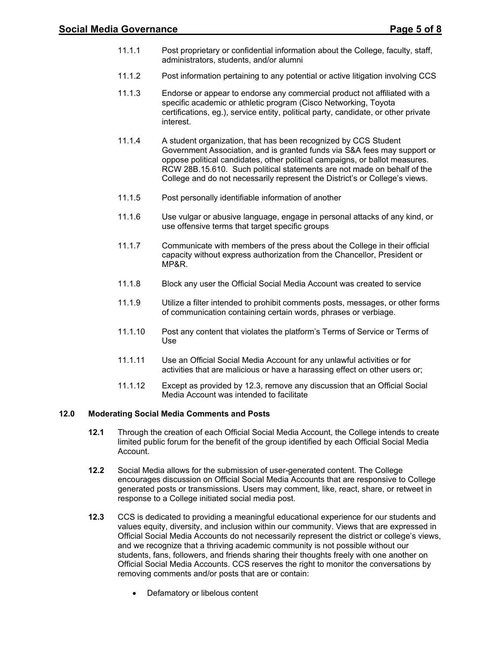- 11.1.1 Post proprietary or confidential information about the College, faculty, staff, administrators, students, and/or alumni
- 11.1.2 Post information pertaining to any potential or active litigation involving CCS
- 11.1.3 Endorse or appear to endorse any commercial product not affiliated with a specific academic or athletic program (Cisco Networking, Toyota certifications, eg.), service entity, political party, candidate, or other private interest.
- 11.1.4 A student organization, that has been recognized by CCS Student Government Association, and is granted funds via S&A fees may support or oppose political candidates, other political campaigns, or ballot measures. RCW 28B.15.610. Such political statements are not made on behalf of the College and do not necessarily represent the District's or College's views.
- 11.1.5 Post personally identifiable information of another
- 11.1.6 Use vulgar or abusive language, engage in personal attacks of any kind, or use offensive terms that target specific groups
- 11.1.7 Communicate with members of the press about the College in their official capacity without express authorization from the Chancellor, President or MP&R.
- 11.1.8 Block any user the Official Social Media Account was created to service
- 11.1.9 Utilize a filter intended to prohibit comments posts, messages, or other forms of communication containing certain words, phrases or verbiage.
- 11.1.10 Post any content that violates the platform's Terms of Service or Terms of Use
- 11.1.11 Use an Official Social Media Account for any unlawful activities or for activities that are malicious or have a harassing effect on other users or;
- 11.1.12 Except as provided by 12.3, remove any discussion that an Official Social Media Account was intended to facilitate

# **12.0 Moderating Social Media Comments and Posts**

- **12.1** Through the creation of each Official Social Media Account, the College intends to create limited public forum for the benefit of the group identified by each Official Social Media Account.
- **12.2** Social Media allows for the submission of user-generated content. The College encourages discussion on Official Social Media Accounts that are responsive to College generated posts or transmissions. Users may comment, like, react, share, or retweet in response to a College initiated social media post.
- **12.3** CCS is dedicated to providing a meaningful educational experience for our students and values equity, diversity, and inclusion within our community. Views that are expressed in Official Social Media Accounts do not necessarily represent the district or college's views, and we recognize that a thriving academic community is not possible without our students, fans, followers, and friends sharing their thoughts freely with one another on Official Social Media Accounts. CCS reserves the right to monitor the conversations by removing comments and/or posts that are or contain:
	- Defamatory or libelous content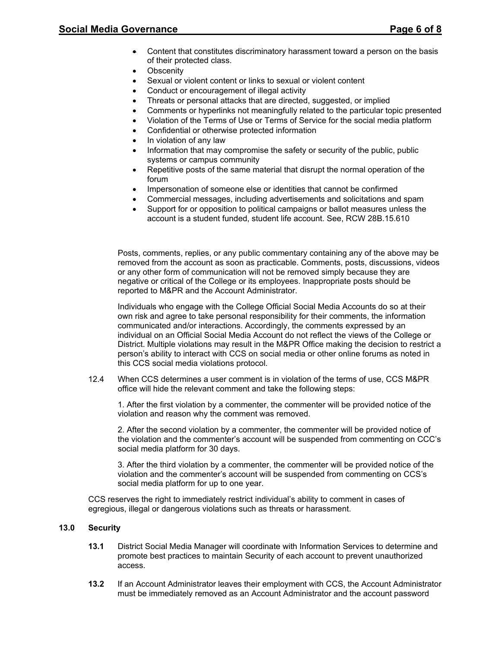- Content that constitutes discriminatory harassment toward a person on the basis of their protected class.
- **Obscenity**
- Sexual or violent content or links to sexual or violent content
- Conduct or encouragement of illegal activity
- Threats or personal attacks that are directed, suggested, or implied
- Comments or hyperlinks not meaningfully related to the particular topic presented
- Violation of the Terms of Use or Terms of Service for the social media platform
- Confidential or otherwise protected information
- In violation of any law
- Information that may compromise the safety or security of the public, public systems or campus community
- Repetitive posts of the same material that disrupt the normal operation of the forum
- Impersonation of someone else or identities that cannot be confirmed
- Commercial messages, including advertisements and solicitations and spam
- Support for or opposition to political campaigns or ballot measures unless the account is a student funded, student life account. See, RCW 28B.15.610

Posts, comments, replies, or any public commentary containing any of the above may be removed from the account as soon as practicable. Comments, posts, discussions, videos or any other form of communication will not be removed simply because they are negative or critical of the College or its employees. Inappropriate posts should be reported to M&PR and the Account Administrator.

Individuals who engage with the College Official Social Media Accounts do so at their own risk and agree to take personal responsibility for their comments, the information communicated and/or interactions. Accordingly, the comments expressed by an individual on an Official Social Media Account do not reflect the views of the College or District. Multiple violations may result in the M&PR Office making the decision to restrict a person's ability to interact with CCS on social media or other online forums as noted in this CCS social media violations protocol.

12.4 When CCS determines a user comment is in violation of the terms of use, CCS M&PR office will hide the relevant comment and take the following steps:

1. After the first violation by a commenter, the commenter will be provided notice of the violation and reason why the comment was removed.

2. After the second violation by a commenter, the commenter will be provided notice of the violation and the commenter's account will be suspended from commenting on CCC's social media platform for 30 days.

3. After the third violation by a commenter, the commenter will be provided notice of the violation and the commenter's account will be suspended from commenting on CCS's social media platform for up to one year.

CCS reserves the right to immediately restrict individual's ability to comment in cases of egregious, illegal or dangerous violations such as threats or harassment.

### **13.0 Security**

- **13.1** District Social Media Manager will coordinate with Information Services to determine and promote best practices to maintain Security of each account to prevent unauthorized access.
- **13.2** If an Account Administrator leaves their employment with CCS, the Account Administrator must be immediately removed as an Account Administrator and the account password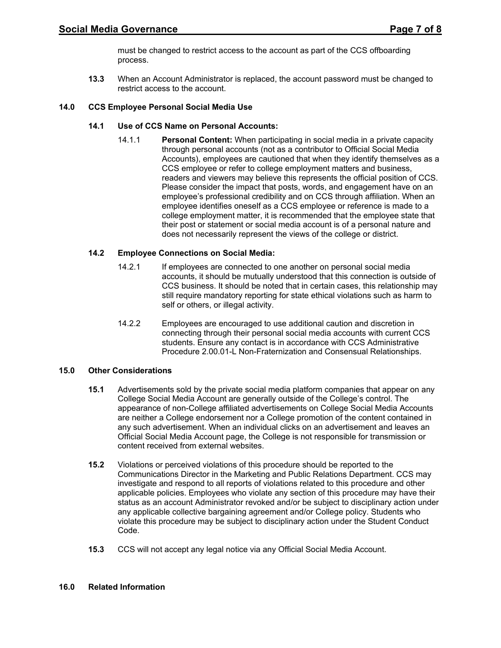must be changed to restrict access to the account as part of the CCS offboarding process.

**13.3** When an Account Administrator is replaced, the account password must be changed to restrict access to the account.

### **14.0 CCS Employee Personal Social Media Use**

# **14.1 Use of CCS Name on Personal Accounts:**

14.1.1 **Personal Content:** When participating in social media in a private capacity through personal accounts (not as a contributor to Official Social Media Accounts), employees are cautioned that when they identify themselves as a CCS employee or refer to college employment matters and business, readers and viewers may believe this represents the official position of CCS. Please consider the impact that posts, words, and engagement have on an employee's professional credibility and on CCS through affiliation. When an employee identifies oneself as a CCS employee or reference is made to a college employment matter, it is recommended that the employee state that their post or statement or social media account is of a personal nature and does not necessarily represent the views of the college or district.

# **14.2 Employee Connections on Social Media:**

- 14.2.1 If employees are connected to one another on personal social media accounts, it should be mutually understood that this connection is outside of CCS business. It should be noted that in certain cases, this relationship may still require mandatory reporting for state ethical violations such as harm to self or others, or illegal activity.
- 14.2.2 Employees are encouraged to use additional caution and discretion in connecting through their personal social media accounts with current CCS students. Ensure any contact is in accordance with CCS Administrative Procedure 2.00.01-L Non-Fraternization and Consensual Relationships.

### **15.0 Other Considerations**

- **15.1** Advertisements sold by the private social media platform companies that appear on any College Social Media Account are generally outside of the College's control. The appearance of non-College affiliated advertisements on College Social Media Accounts are neither a College endorsement nor a College promotion of the content contained in any such advertisement. When an individual clicks on an advertisement and leaves an Official Social Media Account page, the College is not responsible for transmission or content received from external websites.
- **15.2** Violations or perceived violations of this procedure should be reported to the Communications Director in the Marketing and Public Relations Department. CCS may investigate and respond to all reports of violations related to this procedure and other applicable policies. Employees who violate any section of this procedure may have their status as an account Administrator revoked and/or be subject to disciplinary action under any applicable collective bargaining agreement and/or College policy. Students who violate this procedure may be subject to disciplinary action under the Student Conduct Code.
- **15.3** CCS will not accept any legal notice via any Official Social Media Account.